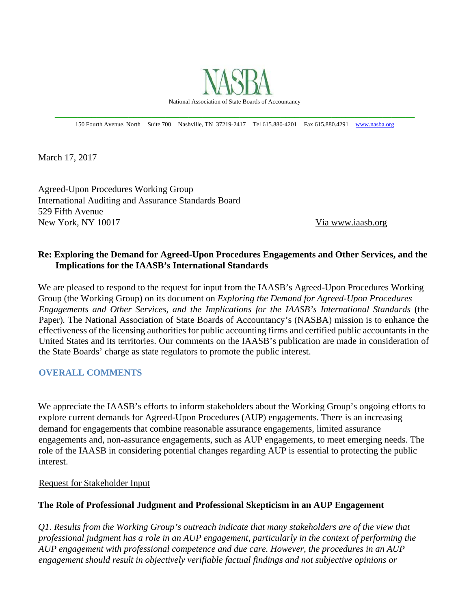

150 Fourth Avenue, North Suite 700 Nashville, TN 37219-2417 Tel 615.880-4201 Fax 615.880.4291 www.nasba.org

March 17, 2017

Agreed-Upon Procedures Working Group International Auditing and Assurance Standards Board 529 Fifth Avenue New York, NY 10017 Via www.iaasb.org

# **Re: Exploring the Demand for Agreed-Upon Procedures Engagements and Other Services, and the Implications for the IAASB's International Standards**

We are pleased to respond to the request for input from the IAASB's Agreed-Upon Procedures Working Group (the Working Group) on its document on *Exploring the Demand for Agreed-Upon Procedures Engagements and Other Services, and the Implications for the IAASB's International Standards* (the Paper)*.* The National Association of State Boards of Accountancy's (NASBA) mission is to enhance the effectiveness of the licensing authorities for public accounting firms and certified public accountants in the United States and its territories. Our comments on the IAASB's publication are made in consideration of the State Boards' charge as state regulators to promote the public interest.

#### **OVERALL COMMENTS**

We appreciate the IAASB's efforts to inform stakeholders about the Working Group's ongoing efforts to explore current demands for Agreed-Upon Procedures (AUP) engagements. There is an increasing demand for engagements that combine reasonable assurance engagements, limited assurance engagements and, non-assurance engagements, such as AUP engagements, to meet emerging needs. The role of the IAASB in considering potential changes regarding AUP is essential to protecting the public interest.

Request for Stakeholder Input

#### **The Role of Professional Judgment and Professional Skepticism in an AUP Engagement**

*Q1. Results from the Working Group's outreach indicate that many stakeholders are of the view that professional judgment has a role in an AUP engagement, particularly in the context of performing the AUP engagement with professional competence and due care. However, the procedures in an AUP engagement should result in objectively verifiable factual findings and not subjective opinions or*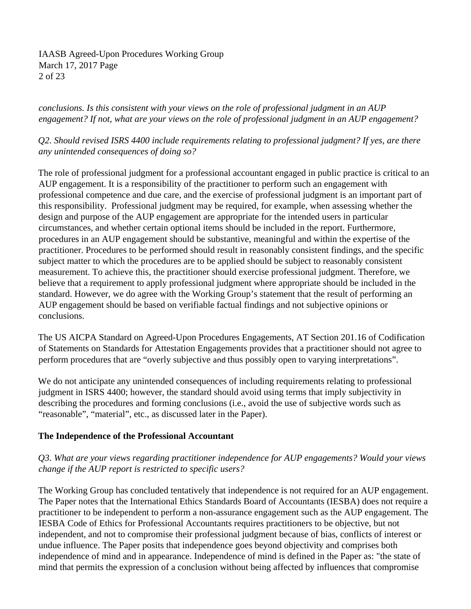IAASB Agreed-Upon Procedures Working Group March 17, 2017 Page 2 of 23

*conclusions. Is this consistent with your views on the role of professional judgment in an AUP engagement? If not, what are your views on the role of professional judgment in an AUP engagement?* 

*Q2. Should revised ISRS 4400 include requirements relating to professional judgment? If yes, are there any unintended consequences of doing so?* 

The role of professional judgment for a professional accountant engaged in public practice is critical to an AUP engagement. It is a responsibility of the practitioner to perform such an engagement with professional competence and due care, and the exercise of professional judgment is an important part of this responsibility. Professional judgment may be required, for example, when assessing whether the design and purpose of the AUP engagement are appropriate for the intended users in particular circumstances, and whether certain optional items should be included in the report. Furthermore, procedures in an AUP engagement should be substantive, meaningful and within the expertise of the practitioner. Procedures to be performed should result in reasonably consistent findings, and the specific subject matter to which the procedures are to be applied should be subject to reasonably consistent measurement. To achieve this, the practitioner should exercise professional judgment. Therefore, we believe that a requirement to apply professional judgment where appropriate should be included in the standard. However, we do agree with the Working Group's statement that the result of performing an AUP engagement should be based on verifiable factual findings and not subjective opinions or conclusions.

The US AICPA Standard on Agreed-Upon Procedures Engagements, AT Section 201.16 of Codification of Statements on Standards for Attestation Engagements provides that a practitioner should not agree to perform procedures that are "overly subjective and thus possibly open to varying interpretations".

We do not anticipate any unintended consequences of including requirements relating to professional judgment in ISRS 4400; however, the standard should avoid using terms that imply subjectivity in describing the procedures and forming conclusions (i.e., avoid the use of subjective words such as "reasonable", "material", etc., as discussed later in the Paper).

# **The Independence of the Professional Accountant**

# *Q3. What are your views regarding practitioner independence for AUP engagements? Would your views change if the AUP report is restricted to specific users?*

The Working Group has concluded tentatively that independence is not required for an AUP engagement. The Paper notes that the International Ethics Standards Board of Accountants (IESBA) does not require a practitioner to be independent to perform a non-assurance engagement such as the AUP engagement. The IESBA Code of Ethics for Professional Accountants requires practitioners to be objective, but not independent, and not to compromise their professional judgment because of bias, conflicts of interest or undue influence. The Paper posits that independence goes beyond objectivity and comprises both independence of mind and in appearance. Independence of mind is defined in the Paper as: "the state of mind that permits the expression of a conclusion without being affected by influences that compromise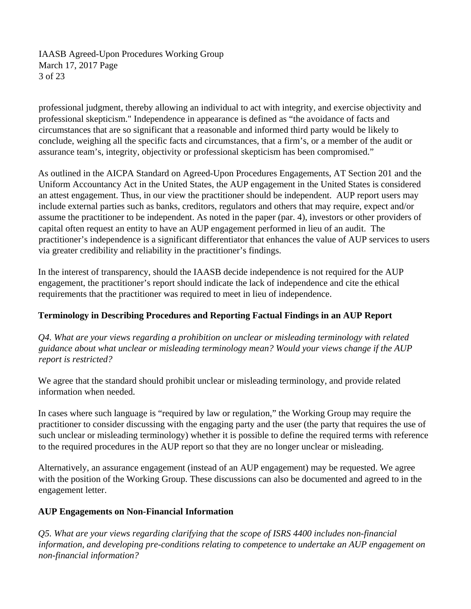IAASB Agreed-Upon Procedures Working Group March 17, 2017 Page 3 of 23

professional judgment, thereby allowing an individual to act with integrity, and exercise objectivity and professional skepticism." Independence in appearance is defined as "the avoidance of facts and circumstances that are so significant that a reasonable and informed third party would be likely to conclude, weighing all the specific facts and circumstances, that a firm's, or a member of the audit or assurance team's, integrity, objectivity or professional skepticism has been compromised."

As outlined in the AICPA Standard on Agreed-Upon Procedures Engagements, AT Section 201 and the Uniform Accountancy Act in the United States, the AUP engagement in the United States is considered an attest engagement. Thus, in our view the practitioner should be independent. AUP report users may include external parties such as banks, creditors, regulators and others that may require, expect and/or assume the practitioner to be independent. As noted in the paper (par. 4), investors or other providers of capital often request an entity to have an AUP engagement performed in lieu of an audit. The practitioner's independence is a significant differentiator that enhances the value of AUP services to users via greater credibility and reliability in the practitioner's findings.

In the interest of transparency, should the IAASB decide independence is not required for the AUP engagement, the practitioner's report should indicate the lack of independence and cite the ethical requirements that the practitioner was required to meet in lieu of independence.

# **Terminology in Describing Procedures and Reporting Factual Findings in an AUP Report**

*Q4. What are your views regarding a prohibition on unclear or misleading terminology with related guidance about what unclear or misleading terminology mean? Would your views change if the AUP report is restricted?* 

We agree that the standard should prohibit unclear or misleading terminology, and provide related information when needed.

In cases where such language is "required by law or regulation," the Working Group may require the practitioner to consider discussing with the engaging party and the user (the party that requires the use of such unclear or misleading terminology) whether it is possible to define the required terms with reference to the required procedures in the AUP report so that they are no longer unclear or misleading.

Alternatively, an assurance engagement (instead of an AUP engagement) may be requested. We agree with the position of the Working Group. These discussions can also be documented and agreed to in the engagement letter.

# **AUP Engagements on Non-Financial Information**

*Q5. What are your views regarding clarifying that the scope of ISRS 4400 includes non-financial information, and developing pre-conditions relating to competence to undertake an AUP engagement on non-financial information?*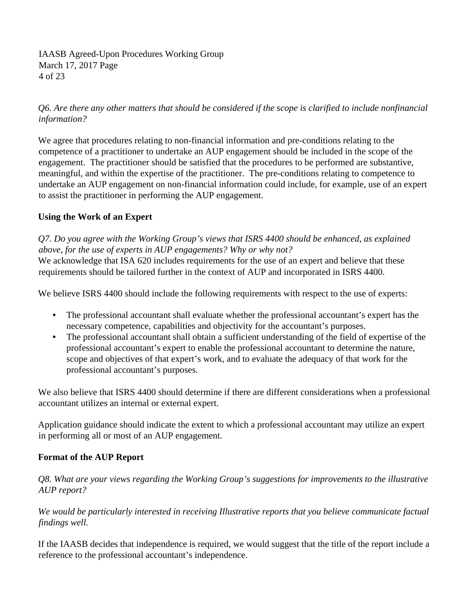IAASB Agreed-Upon Procedures Working Group March 17, 2017 Page 4 of 23

*Q6. Are there any other matters that should be considered if the scope is clarified to include nonfinancial information?* 

We agree that procedures relating to non-financial information and pre-conditions relating to the competence of a practitioner to undertake an AUP engagement should be included in the scope of the engagement. The practitioner should be satisfied that the procedures to be performed are substantive, meaningful, and within the expertise of the practitioner. The pre-conditions relating to competence to undertake an AUP engagement on non-financial information could include, for example, use of an expert to assist the practitioner in performing the AUP engagement.

# **Using the Work of an Expert**

*Q7. Do you agree with the Working Group's views that ISRS 4400 should be enhanced, as explained above, for the use of experts in AUP engagements? Why or why not?* 

We acknowledge that ISA 620 includes requirements for the use of an expert and believe that these requirements should be tailored further in the context of AUP and incorporated in ISRS 4400.

We believe ISRS 4400 should include the following requirements with respect to the use of experts:

- The professional accountant shall evaluate whether the professional accountant's expert has the necessary competence, capabilities and objectivity for the accountant's purposes.
- The professional accountant shall obtain a sufficient understanding of the field of expertise of the professional accountant's expert to enable the professional accountant to determine the nature, scope and objectives of that expert's work, and to evaluate the adequacy of that work for the professional accountant's purposes.

We also believe that ISRS 4400 should determine if there are different considerations when a professional accountant utilizes an internal or external expert.

Application guidance should indicate the extent to which a professional accountant may utilize an expert in performing all or most of an AUP engagement.

# **Format of the AUP Report**

*Q8. What are your views regarding the Working Group's suggestions for improvements to the illustrative AUP report?* 

*We would be particularly interested in receiving Illustrative reports that you believe communicate factual findings well.* 

If the IAASB decides that independence is required, we would suggest that the title of the report include a reference to the professional accountant's independence.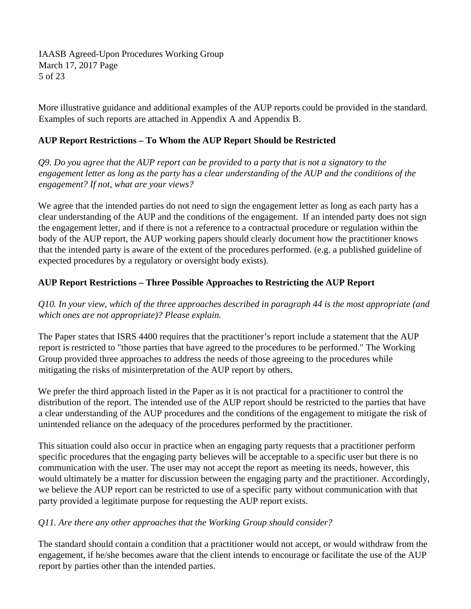IAASB Agreed-Upon Procedures Working Group March 17, 2017 Page 5 of 23

More illustrative guidance and additional examples of the AUP reports could be provided in the standard. Examples of such reports are attached in Appendix A and Appendix B.

# **AUP Report Restrictions – To Whom the AUP Report Should be Restricted**

*Q9. Do you agree that the AUP report can be provided to a party that is not a signatory to the engagement letter as long as the party has a clear understanding of the AUP and the conditions of the engagement? If not, what are your views?* 

We agree that the intended parties do not need to sign the engagement letter as long as each party has a clear understanding of the AUP and the conditions of the engagement. If an intended party does not sign the engagement letter, and if there is not a reference to a contractual procedure or regulation within the body of the AUP report, the AUP working papers should clearly document how the practitioner knows that the intended party is aware of the extent of the procedures performed. (e.g. a published guideline of expected procedures by a regulatory or oversight body exists).

# **AUP Report Restrictions – Three Possible Approaches to Restricting the AUP Report**

*Q10. In your view, which of the three approaches described in paragraph 44 is the most appropriate (and which ones are not appropriate)? Please explain.* 

The Paper states that ISRS 4400 requires that the practitioner's report include a statement that the AUP report is restricted to "those parties that have agreed to the procedures to be performed." The Working Group provided three approaches to address the needs of those agreeing to the procedures while mitigating the risks of misinterpretation of the AUP report by others.

We prefer the third approach listed in the Paper as it is not practical for a practitioner to control the distribution of the report. The intended use of the AUP report should be restricted to the parties that have a clear understanding of the AUP procedures and the conditions of the engagement to mitigate the risk of unintended reliance on the adequacy of the procedures performed by the practitioner.

This situation could also occur in practice when an engaging party requests that a practitioner perform specific procedures that the engaging party believes will be acceptable to a specific user but there is no communication with the user. The user may not accept the report as meeting its needs, however, this would ultimately be a matter for discussion between the engaging party and the practitioner. Accordingly, we believe the AUP report can be restricted to use of a specific party without communication with that party provided a legitimate purpose for requesting the AUP report exists.

# *Q11. Are there any other approaches that the Working Group should consider?*

The standard should contain a condition that a practitioner would not accept, or would withdraw from the engagement, if he/she becomes aware that the client intends to encourage or facilitate the use of the AUP report by parties other than the intended parties.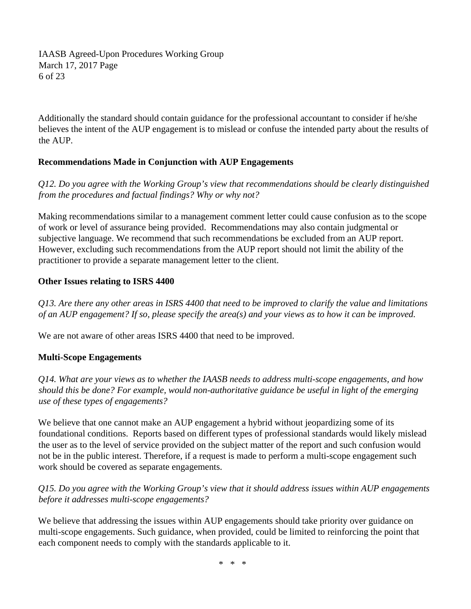IAASB Agreed-Upon Procedures Working Group March 17, 2017 Page 6 of 23

Additionally the standard should contain guidance for the professional accountant to consider if he/she believes the intent of the AUP engagement is to mislead or confuse the intended party about the results of the AUP.

# **Recommendations Made in Conjunction with AUP Engagements**

*Q12. Do you agree with the Working Group's view that recommendations should be clearly distinguished from the procedures and factual findings? Why or why not?* 

Making recommendations similar to a management comment letter could cause confusion as to the scope of work or level of assurance being provided. Recommendations may also contain judgmental or subjective language. We recommend that such recommendations be excluded from an AUP report. However, excluding such recommendations from the AUP report should not limit the ability of the practitioner to provide a separate management letter to the client.

# **Other Issues relating to ISRS 4400**

*Q13. Are there any other areas in ISRS 4400 that need to be improved to clarify the value and limitations of an AUP engagement? If so, please specify the area(s) and your views as to how it can be improved.* 

We are not aware of other areas ISRS 4400 that need to be improved.

# **Multi-Scope Engagements**

*Q14. What are your views as to whether the IAASB needs to address multi-scope engagements, and how should this be done? For example, would non-authoritative guidance be useful in light of the emerging use of these types of engagements?* 

We believe that one cannot make an AUP engagement a hybrid without jeopardizing some of its foundational conditions. Reports based on different types of professional standards would likely mislead the user as to the level of service provided on the subject matter of the report and such confusion would not be in the public interest. Therefore, if a request is made to perform a multi-scope engagement such work should be covered as separate engagements.

# *Q15. Do you agree with the Working Group's view that it should address issues within AUP engagements before it addresses multi-scope engagements?*

We believe that addressing the issues within AUP engagements should take priority over guidance on multi-scope engagements. Such guidance, when provided, could be limited to reinforcing the point that each component needs to comply with the standards applicable to it.

\* \* \*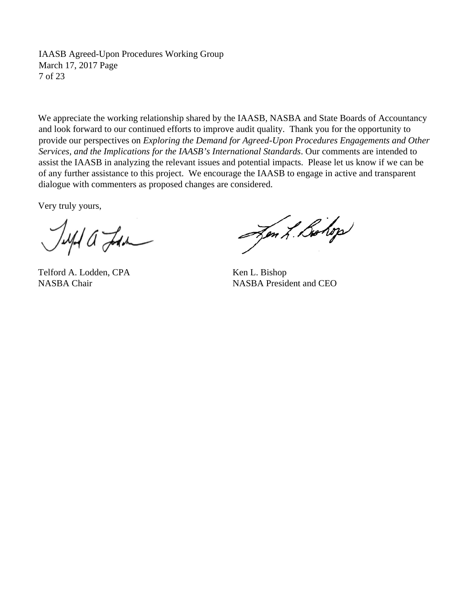IAASB Agreed-Upon Procedures Working Group March 17, 2017 Page 7 of 23

We appreciate the working relationship shared by the IAASB, NASBA and State Boards of Accountancy and look forward to our continued efforts to improve audit quality. Thank you for the opportunity to provide our perspectives on *Exploring the Demand for Agreed-Upon Procedures Engagements and Other Services, and the Implications for the IAASB's International Standards*. Our comments are intended to assist the IAASB in analyzing the relevant issues and potential impacts. Please let us know if we can be of any further assistance to this project. We encourage the IAASB to engage in active and transparent dialogue with commenters as proposed changes are considered.

Very truly yours,

Jeepe a Lan

Telford A. Lodden, CPA Ken L. Bishop

Jen L. Bohop

NASBA Chair NASBA President and CEO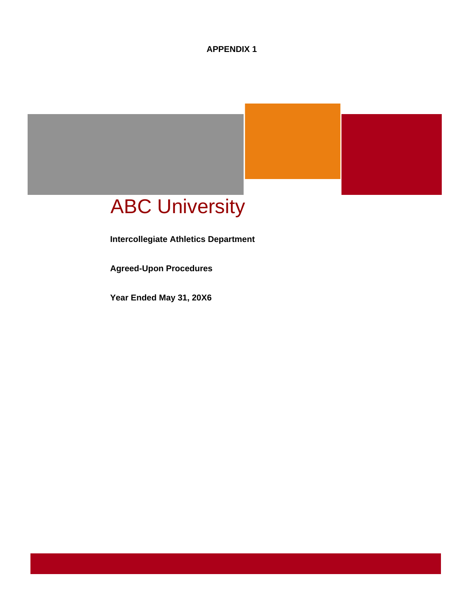**APPENDIX 1** 

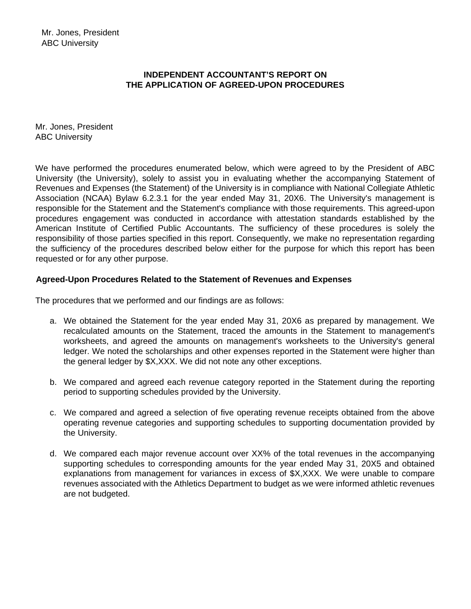# **INDEPENDENT ACCOUNTANT'S REPORT ON THE APPLICATION OF AGREED-UPON PROCEDURES**

Mr. Jones, President ABC University

We have performed the procedures enumerated below, which were agreed to by the President of ABC University (the University), solely to assist you in evaluating whether the accompanying Statement of Revenues and Expenses (the Statement) of the University is in compliance with National Collegiate Athletic Association (NCAA) Bylaw 6.2.3.1 for the year ended May 31, 20X6. The University's management is responsible for the Statement and the Statement's compliance with those requirements. This agreed-upon procedures engagement was conducted in accordance with attestation standards established by the American Institute of Certified Public Accountants. The sufficiency of these procedures is solely the responsibility of those parties specified in this report. Consequently, we make no representation regarding the sufficiency of the procedures described below either for the purpose for which this report has been requested or for any other purpose.

#### **Agreed-Upon Procedures Related to the Statement of Revenues and Expenses**

The procedures that we performed and our findings are as follows:

- a. We obtained the Statement for the year ended May 31, 20X6 as prepared by management. We recalculated amounts on the Statement, traced the amounts in the Statement to management's worksheets, and agreed the amounts on management's worksheets to the University's general ledger. We noted the scholarships and other expenses reported in the Statement were higher than the general ledger by \$X,XXX. We did not note any other exceptions.
- b. We compared and agreed each revenue category reported in the Statement during the reporting period to supporting schedules provided by the University.
- c. We compared and agreed a selection of five operating revenue receipts obtained from the above operating revenue categories and supporting schedules to supporting documentation provided by the University.
- d. We compared each major revenue account over XX% of the total revenues in the accompanying supporting schedules to corresponding amounts for the year ended May 31, 20X5 and obtained explanations from management for variances in excess of \$X,XXX. We were unable to compare revenues associated with the Athletics Department to budget as we were informed athletic revenues are not budgeted.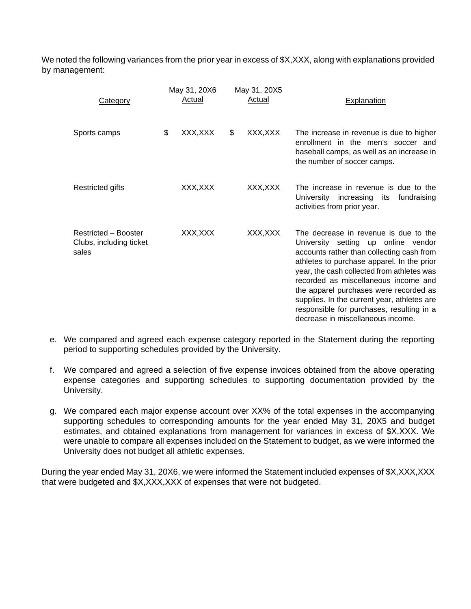We noted the following variances from the prior year in excess of \$X,XXX, along with explanations provided by management:

| <b>Category</b>                                          | May 31, 20X6<br>Actual | May 31, 20X5<br>Actual | Explanation                                                                                                                                                                                                                                                                                                                                                                                                                              |
|----------------------------------------------------------|------------------------|------------------------|------------------------------------------------------------------------------------------------------------------------------------------------------------------------------------------------------------------------------------------------------------------------------------------------------------------------------------------------------------------------------------------------------------------------------------------|
| Sports camps                                             | \$<br>XXX, XXX         | \$<br>XXX,XXX          | The increase in revenue is due to higher<br>enrollment in the men's soccer and<br>baseball camps, as well as an increase in<br>the number of soccer camps.                                                                                                                                                                                                                                                                               |
| Restricted gifts                                         | XXX,XXX                | XXX,XXX                | The increase in revenue is due to the<br>University increasing its<br>fundraising<br>activities from prior year.                                                                                                                                                                                                                                                                                                                         |
| Restricted - Booster<br>Clubs, including ticket<br>sales | XXX,XXX                | XXX,XXX                | The decrease in revenue is due to the<br>University setting up online vendor<br>accounts rather than collecting cash from<br>athletes to purchase apparel. In the prior<br>year, the cash collected from athletes was<br>recorded as miscellaneous income and<br>the apparel purchases were recorded as<br>supplies. In the current year, athletes are<br>responsible for purchases, resulting in a<br>decrease in miscellaneous income. |

- e. We compared and agreed each expense category reported in the Statement during the reporting period to supporting schedules provided by the University.
- f. We compared and agreed a selection of five expense invoices obtained from the above operating expense categories and supporting schedules to supporting documentation provided by the University.
- g. We compared each major expense account over XX% of the total expenses in the accompanying supporting schedules to corresponding amounts for the year ended May 31, 20X5 and budget estimates, and obtained explanations from management for variances in excess of \$X,XXX. We were unable to compare all expenses included on the Statement to budget, as we were informed the University does not budget all athletic expenses.

During the year ended May 31, 20X6, we were informed the Statement included expenses of \$X,XXX,XXX that were budgeted and \$X,XXX,XXX of expenses that were not budgeted.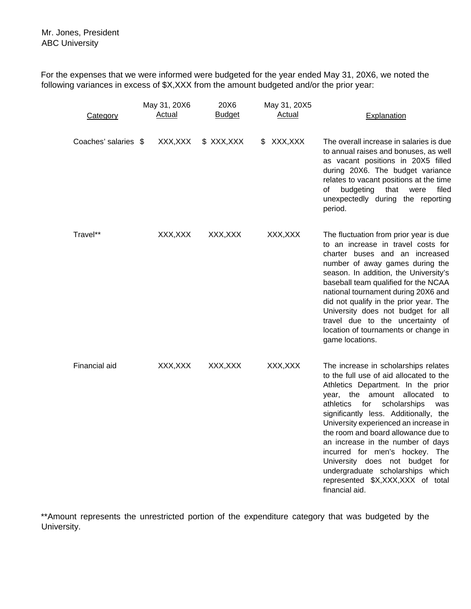For the expenses that we were informed were budgeted for the year ended May 31, 20X6, we noted the following variances in excess of \$X,XXX from the amount budgeted and/or the prior year:

| <b>Category</b>      | May 31, 20X6<br><u>Actual</u> | 20X6<br><b>Budget</b> | May 31, 20X5<br><u>Actual</u> | Explanation                                                                                                                                                                                                                                                                                                                                                                                                                                                                                                                            |
|----------------------|-------------------------------|-----------------------|-------------------------------|----------------------------------------------------------------------------------------------------------------------------------------------------------------------------------------------------------------------------------------------------------------------------------------------------------------------------------------------------------------------------------------------------------------------------------------------------------------------------------------------------------------------------------------|
| Coaches' salaries \$ | XXX, XXX                      | \$ XXX, XXX           | XXX,XXX<br>\$                 | The overall increase in salaries is due<br>to annual raises and bonuses, as well<br>as vacant positions in 20X5 filled<br>during 20X6. The budget variance<br>relates to vacant positions at the time<br>budgeting<br>that<br>were<br>filed<br>οf<br>unexpectedly during the reporting<br>period.                                                                                                                                                                                                                                      |
| Travel**             | XXX, XXX                      | XXX, XXX              | XXX, XXX                      | The fluctuation from prior year is due<br>to an increase in travel costs for<br>charter buses and an increased<br>number of away games during the<br>season. In addition, the University's<br>baseball team qualified for the NCAA<br>national tournament during 20X6 and<br>did not qualify in the prior year. The<br>University does not budget for all<br>travel due to the uncertainty of<br>location of tournaments or change in<br>game locations.                                                                               |
| Financial aid        | XXX, XXX                      | XXX, XXX              | XXX, XXX                      | The increase in scholarships relates<br>to the full use of aid allocated to the<br>Athletics Department. In the prior<br>amount allocated<br>the<br>year,<br>to<br>for<br>athletics<br>scholarships<br>was<br>significantly less. Additionally, the<br>University experienced an increase in<br>the room and board allowance due to<br>an increase in the number of days<br>incurred for men's hockey. The<br>University does not budget for<br>undergraduate scholarships which<br>represented \$X,XXX,XXX of total<br>financial aid. |

\*\*Amount represents the unrestricted portion of the expenditure category that was budgeted by the University.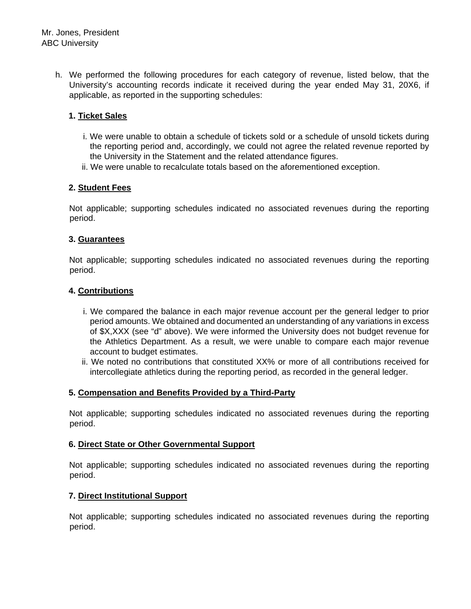h. We performed the following procedures for each category of revenue, listed below, that the University's accounting records indicate it received during the year ended May 31, 20X6, if applicable, as reported in the supporting schedules:

# **1. Ticket Sales**

- i. We were unable to obtain a schedule of tickets sold or a schedule of unsold tickets during the reporting period and, accordingly, we could not agree the related revenue reported by the University in the Statement and the related attendance figures.
- ii. We were unable to recalculate totals based on the aforementioned exception.

## **2. Student Fees**

Not applicable; supporting schedules indicated no associated revenues during the reporting period.

## **3. Guarantees**

Not applicable; supporting schedules indicated no associated revenues during the reporting period.

#### **4. Contributions**

- i. We compared the balance in each major revenue account per the general ledger to prior period amounts. We obtained and documented an understanding of any variations in excess of \$X,XXX (see "d" above). We were informed the University does not budget revenue for the Athletics Department. As a result, we were unable to compare each major revenue account to budget estimates.
- ii. We noted no contributions that constituted XX% or more of all contributions received for intercollegiate athletics during the reporting period, as recorded in the general ledger.

## **5. Compensation and Benefits Provided by a Third-Party**

Not applicable; supporting schedules indicated no associated revenues during the reporting period.

## **6. Direct State or Other Governmental Support**

Not applicable; supporting schedules indicated no associated revenues during the reporting period.

## **7. Direct Institutional Support**

Not applicable; supporting schedules indicated no associated revenues during the reporting period.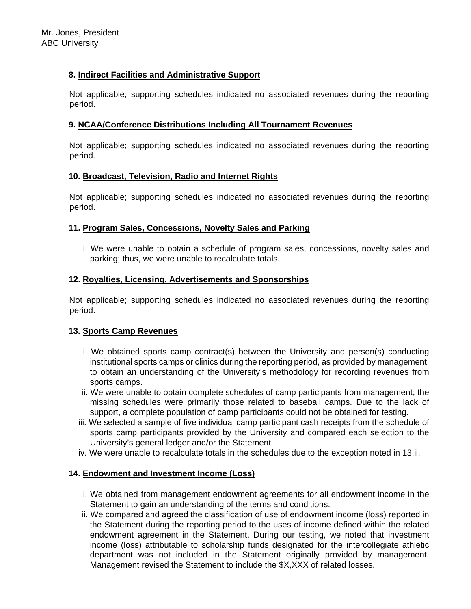# **8. Indirect Facilities and Administrative Support**

Not applicable; supporting schedules indicated no associated revenues during the reporting period.

## **9. NCAA/Conference Distributions Including All Tournament Revenues**

Not applicable; supporting schedules indicated no associated revenues during the reporting period.

## **10. Broadcast, Television, Radio and Internet Rights**

Not applicable; supporting schedules indicated no associated revenues during the reporting period.

## **11. Program Sales, Concessions, Novelty Sales and Parking**

i. We were unable to obtain a schedule of program sales, concessions, novelty sales and parking; thus, we were unable to recalculate totals.

#### **12. Royalties, Licensing, Advertisements and Sponsorships**

Not applicable; supporting schedules indicated no associated revenues during the reporting period.

#### **13. Sports Camp Revenues**

- i. We obtained sports camp contract(s) between the University and person(s) conducting institutional sports camps or clinics during the reporting period, as provided by management, to obtain an understanding of the University's methodology for recording revenues from sports camps.
- ii. We were unable to obtain complete schedules of camp participants from management; the missing schedules were primarily those related to baseball camps. Due to the lack of support, a complete population of camp participants could not be obtained for testing.
- iii. We selected a sample of five individual camp participant cash receipts from the schedule of sports camp participants provided by the University and compared each selection to the University's general ledger and/or the Statement.
- iv. We were unable to recalculate totals in the schedules due to the exception noted in 13.ii.

## **14. Endowment and Investment Income (Loss)**

- i. We obtained from management endowment agreements for all endowment income in the Statement to gain an understanding of the terms and conditions.
- ii. We compared and agreed the classification of use of endowment income (loss) reported in the Statement during the reporting period to the uses of income defined within the related endowment agreement in the Statement. During our testing, we noted that investment income (loss) attributable to scholarship funds designated for the intercollegiate athletic department was not included in the Statement originally provided by management. Management revised the Statement to include the \$X,XXX of related losses.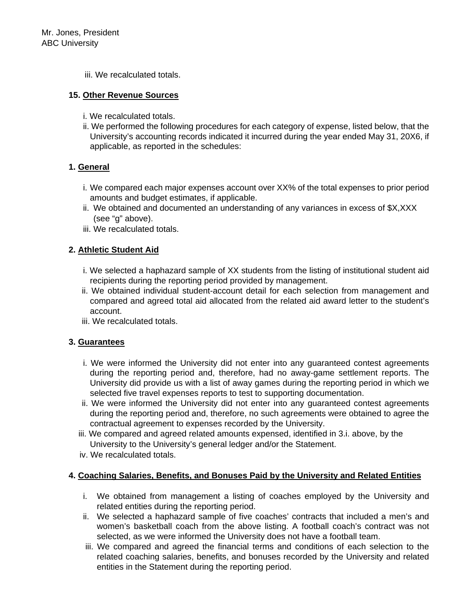iii. We recalculated totals.

#### **15. Other Revenue Sources**

- i. We recalculated totals.
- ii. We performed the following procedures for each category of expense, listed below, that the University's accounting records indicated it incurred during the year ended May 31, 20X6, if applicable, as reported in the schedules:

## **1. General**

- i. We compared each major expenses account over XX% of the total expenses to prior period amounts and budget estimates, if applicable.
- ii. We obtained and documented an understanding of any variances in excess of \$X,XXX (see "g" above).
- iii. We recalculated totals.

# **2. Athletic Student Aid**

- i. We selected a haphazard sample of XX students from the listing of institutional student aid recipients during the reporting period provided by management.
- ii. We obtained individual student-account detail for each selection from management and compared and agreed total aid allocated from the related aid award letter to the student's account.
- iii. We recalculated totals.

## **3. Guarantees**

- i. We were informed the University did not enter into any guaranteed contest agreements during the reporting period and, therefore, had no away-game settlement reports. The University did provide us with a list of away games during the reporting period in which we selected five travel expenses reports to test to supporting documentation.
- ii. We were informed the University did not enter into any guaranteed contest agreements during the reporting period and, therefore, no such agreements were obtained to agree the contractual agreement to expenses recorded by the University.
- iii. We compared and agreed related amounts expensed, identified in 3.i. above, by the University to the University's general ledger and/or the Statement.
- iv. We recalculated totals.

# **4. Coaching Salaries, Benefits, and Bonuses Paid by the University and Related Entities**

- i. We obtained from management a listing of coaches employed by the University and related entities during the reporting period.
- ii. We selected a haphazard sample of five coaches' contracts that included a men's and women's basketball coach from the above listing. A football coach's contract was not selected, as we were informed the University does not have a football team.
- iii. We compared and agreed the financial terms and conditions of each selection to the related coaching salaries, benefits, and bonuses recorded by the University and related entities in the Statement during the reporting period.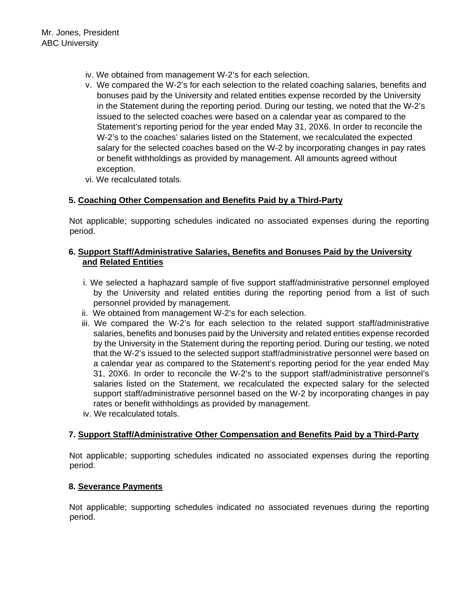- iv. We obtained from management W-2's for each selection.
- v. We compared the W-2's for each selection to the related coaching salaries, benefits and bonuses paid by the University and related entities expense recorded by the University in the Statement during the reporting period. During our testing, we noted that the W-2's issued to the selected coaches were based on a calendar year as compared to the Statement's reporting period for the year ended May 31, 20X6. In order to reconcile the W-2's to the coaches' salaries listed on the Statement, we recalculated the expected salary for the selected coaches based on the W-2 by incorporating changes in pay rates or benefit withholdings as provided by management. All amounts agreed without exception.
- vi. We recalculated totals.

# **5. Coaching Other Compensation and Benefits Paid by a Third-Party**

Not applicable; supporting schedules indicated no associated expenses during the reporting period.

## **6. Support Staff/Administrative Salaries, Benefits and Bonuses Paid by the University and Related Entities**

- i. We selected a haphazard sample of five support staff/administrative personnel employed by the University and related entities during the reporting period from a list of such personnel provided by management.
- ii. We obtained from management W-2's for each selection.
- iii. We compared the W-2's for each selection to the related support staff/administrative salaries, benefits and bonuses paid by the University and related entities expense recorded by the University in the Statement during the reporting period. During our testing, we noted that the W-2's issued to the selected support staff/administrative personnel were based on a calendar year as compared to the Statement's reporting period for the year ended May 31, 20X6. In order to reconcile the W-2's to the support staff/administrative personnel's salaries listed on the Statement, we recalculated the expected salary for the selected support staff/administrative personnel based on the W-2 by incorporating changes in pay rates or benefit withholdings as provided by management.
- iv. We recalculated totals.

## **7. Support Staff/Administrative Other Compensation and Benefits Paid by a Third-Party**

Not applicable; supporting schedules indicated no associated expenses during the reporting period.

#### **8. Severance Payments**

Not applicable; supporting schedules indicated no associated revenues during the reporting period.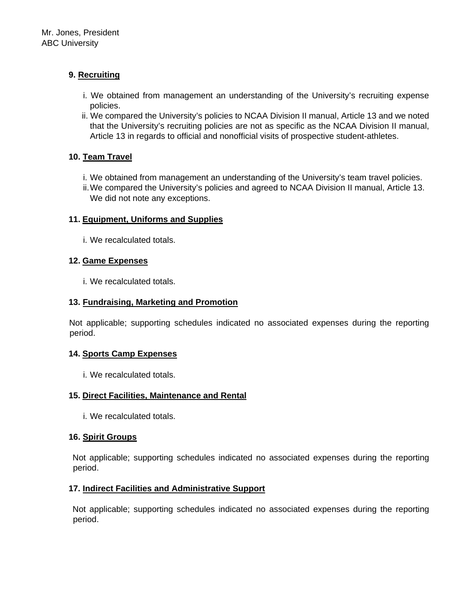# **9. Recruiting**

- i. We obtained from management an understanding of the University's recruiting expense policies.
- ii. We compared the University's policies to NCAA Division II manual, Article 13 and we noted that the University's recruiting policies are not as specific as the NCAA Division II manual, Article 13 in regards to official and nonofficial visits of prospective student-athletes.

# **10. Team Travel**

- i. We obtained from management an understanding of the University's team travel policies.
- ii. We compared the University's policies and agreed to NCAA Division II manual, Article 13. We did not note any exceptions.

# **11. Equipment, Uniforms and Supplies**

i. We recalculated totals.

# **12. Game Expenses**

i. We recalculated totals.

# **13. Fundraising, Marketing and Promotion**

Not applicable; supporting schedules indicated no associated expenses during the reporting period.

## **14. Sports Camp Expenses**

i. We recalculated totals.

# **15. Direct Facilities, Maintenance and Rental**

i. We recalculated totals.

# **16. Spirit Groups**

Not applicable; supporting schedules indicated no associated expenses during the reporting period.

# **17. Indirect Facilities and Administrative Support**

Not applicable; supporting schedules indicated no associated expenses during the reporting period.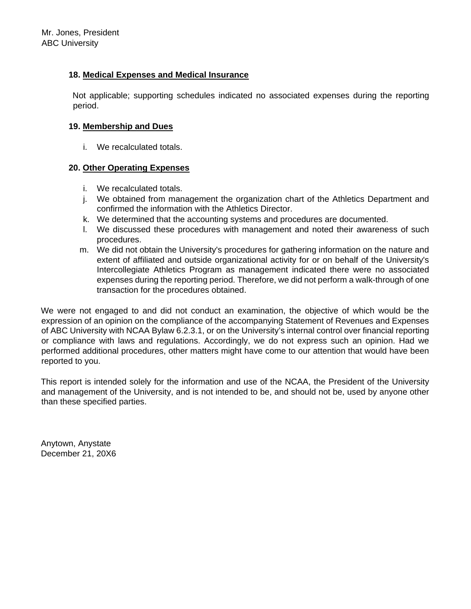# **18. Medical Expenses and Medical Insurance**

Not applicable; supporting schedules indicated no associated expenses during the reporting period.

## **19. Membership and Dues**

i. We recalculated totals.

# **20. Other Operating Expenses**

- i. We recalculated totals.
- j. We obtained from management the organization chart of the Athletics Department and confirmed the information with the Athletics Director.
- k. We determined that the accounting systems and procedures are documented.
- l. We discussed these procedures with management and noted their awareness of such procedures.
- m. We did not obtain the University's procedures for gathering information on the nature and extent of affiliated and outside organizational activity for or on behalf of the University's Intercollegiate Athletics Program as management indicated there were no associated expenses during the reporting period. Therefore, we did not perform a walk-through of one transaction for the procedures obtained.

We were not engaged to and did not conduct an examination, the objective of which would be the expression of an opinion on the compliance of the accompanying Statement of Revenues and Expenses of ABC University with NCAA Bylaw 6.2.3.1, or on the University's internal control over financial reporting or compliance with laws and regulations. Accordingly, we do not express such an opinion. Had we performed additional procedures, other matters might have come to our attention that would have been reported to you.

This report is intended solely for the information and use of the NCAA, the President of the University and management of the University, and is not intended to be, and should not be, used by anyone other than these specified parties.

Anytown, Anystate December 21, 20X6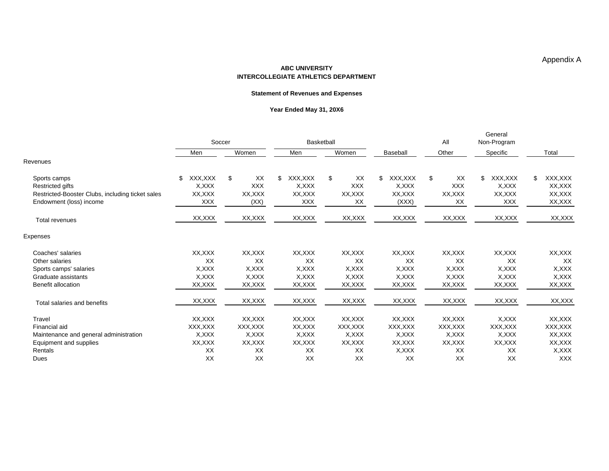#### **ABC UNIVERSITYINTERCOLLEGIATE ATHLETICS DEPARTMENT**

#### **Statement of Revenues and Expenses**

#### **Year Ended May 31, 20X6**

|                                                  | Soccer         |            | Basketball    |            |               | All        | General<br>Non-Program |                |  |
|--------------------------------------------------|----------------|------------|---------------|------------|---------------|------------|------------------------|----------------|--|
|                                                  | Men            | Women      | Men           | Women      | Baseball      | Other      | Specific               | Total          |  |
| Revenues                                         |                |            |               |            |               |            |                        |                |  |
| Sports camps                                     | XXX, XXX<br>\$ | XX<br>\$   | XXX,XXX<br>\$ | XX<br>\$   | XXX,XXX<br>\$ | \$<br>XX   | XXX,XXX<br>\$          | XXX, XXX<br>\$ |  |
| <b>Restricted gifts</b>                          | X, XXX         | <b>XXX</b> | X,XXX         | <b>XXX</b> | X, XXX        | <b>XXX</b> | X, XXX                 | XX,XXX         |  |
| Restricted-Booster Clubs, including ticket sales | XX, XXX        | XX,XXX     | XX, XXX       | XX,XXX     | XX,XXX        | XX, XXX    | XX,XXX                 | XX, XXX        |  |
| Endowment (loss) income                          | <b>XXX</b>     | (XX)       | <b>XXX</b>    | XX         | (XXX)         | XX         | <b>XXX</b>             | XX, XXX        |  |
| Total revenues                                   | XX, XXX        | XX, XXX    | XX, XXX       | XX, XXX    | XX, XXX       | XX, XXX    | XX, XXX                | XX, XXX        |  |
| <b>Expenses</b>                                  |                |            |               |            |               |            |                        |                |  |
| Coaches' salaries                                | XX.XXX         | XX,XXX     | XX,XXX        | XX,XXX     | XX, XXX       | XX, XXX    | XX,XXX                 | XX,XXX         |  |
| Other salaries                                   | XX             | XX         | XX            | XX         | XX            | XX         | XX                     | XX             |  |
| Sports camps' salaries                           | X, XXX         | X, XXX     | X, XXX        | X, XXX     | X, XXX        | X, XXX     | X, XXX                 | X, XXX         |  |
| Graduate assistants                              | X, XXX         | X, XXX     | X, XXX        | X, XXX     | X, XXX        | X, XXX     | X, XXX                 | X, XXX         |  |
| Benefit allocation                               | XX, XXX        | XX, XXX    | XX, XXX       | XX, XXX    | XX, XXX       | XX, XXX    | XX, XXX                | XX, XXX        |  |
| Total salaries and benefits                      | XX, XXX        | XX, XXX    | XX, XXX       | XX, XXX    | XX, XXX       | XX, XXX    | XX, XXX                | XX, XXX        |  |
| Travel                                           | XX,XXX         | XX,XXX     | XX,XXX        | XX,XXX     | XX,XXX        | XX, XXX    | X, XXX                 | XX,XXX         |  |
| Financial aid                                    | XXX, XXX       | XXX, XXX   | XX, XXX       | XXX, XXX   | XXX, XXX      | XXX, XXX   | XXX, XXX               | XXX, XXX       |  |
| Maintenance and general administration           | X, XXX         | X, XXX     | X.XXX         | X, XXX     | X, XXX        | X, XXX     | X, XXX                 | XX, XXX        |  |
| Equipment and supplies                           | XX,XXX         | XX,XXX     | XX,XXX        | XX,XXX     | XX,XXX        | XX,XXX     | XX, XXX                | XX, XXX        |  |
| Rentals                                          | XX             | XX         | XX            | XX         | X, XXX        | XX         | XX                     | X, XXX         |  |
| Dues                                             | XX             | XX         | XX            | XX         | XX            | XX         | XX                     | <b>XXX</b>     |  |

Appendix A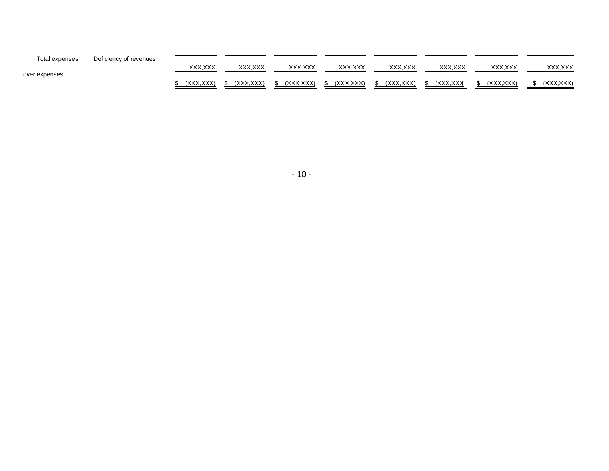| Total expenses | Deficiency of revenues |                |           |           |          |            |                |           |            |
|----------------|------------------------|----------------|-----------|-----------|----------|------------|----------------|-----------|------------|
| over expenses  |                        | XXX.XXX        | XXX.XXX   | XXX.XXX   | XXX.XXX  | XXX.XXX    | XXX.XXX        | XXX.XXX   | XXX.XXX    |
|                |                        | (XXX.<br>.XXX) | (XXX.XXX) | (XXX.XXX) | XXX.XXX) | (XXX, XXX) | <b>XXX.XXX</b> | (XXX.XXX) | (XXX, XXX) |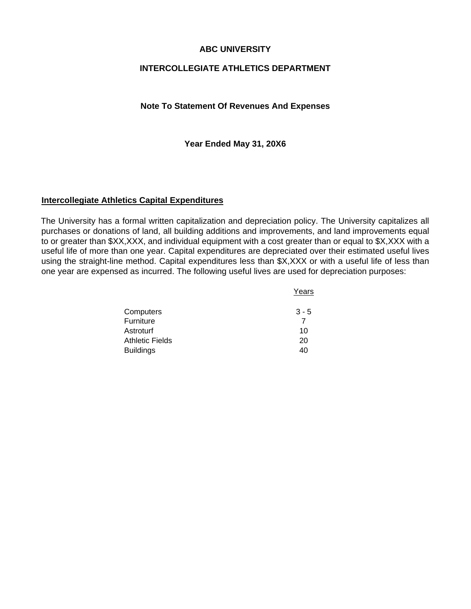# **ABC UNIVERSITY**

# **INTERCOLLEGIATE ATHLETICS DEPARTMENT**

#### **Note To Statement Of Revenues And Expenses**

**Year Ended May 31, 20X6** 

# **Intercollegiate Athletics Capital Expenditures**

The University has a formal written capitalization and depreciation policy. The University capitalizes all purchases or donations of land, all building additions and improvements, and land improvements equal to or greater than \$XX,XXX, and individual equipment with a cost greater than or equal to \$X,XXX with a useful life of more than one year. Capital expenditures are depreciated over their estimated useful lives using the straight-line method. Capital expenditures less than \$X,XXX or with a useful life of less than one year are expensed as incurred. The following useful lives are used for depreciation purposes:

|                        | Years   |  |  |
|------------------------|---------|--|--|
| Computers              | $3 - 5$ |  |  |
| Furniture              |         |  |  |
| Astroturf              | 10      |  |  |
| <b>Athletic Fields</b> | 20      |  |  |
| <b>Buildings</b>       | 40      |  |  |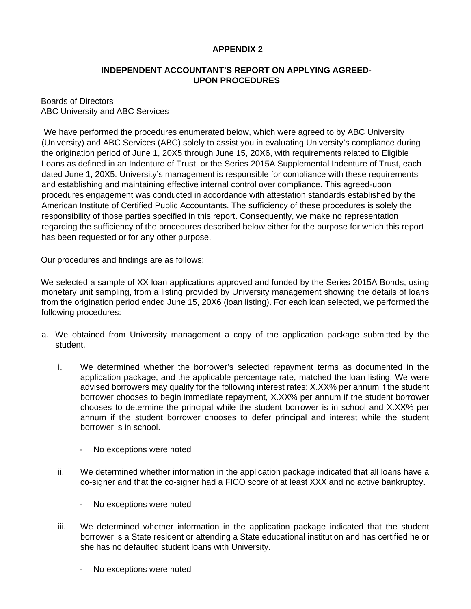# **APPENDIX 2**

## **INDEPENDENT ACCOUNTANT'S REPORT ON APPLYING AGREED-UPON PROCEDURES**

#### Boards of Directors ABC University and ABC Services

 We have performed the procedures enumerated below, which were agreed to by ABC University (University) and ABC Services (ABC) solely to assist you in evaluating University's compliance during the origination period of June 1, 20X5 through June 15, 20X6, with requirements related to Eligible Loans as defined in an Indenture of Trust, or the Series 2015A Supplemental Indenture of Trust, each dated June 1, 20X5. University's management is responsible for compliance with these requirements and establishing and maintaining effective internal control over compliance. This agreed-upon procedures engagement was conducted in accordance with attestation standards established by the American Institute of Certified Public Accountants. The sufficiency of these procedures is solely the responsibility of those parties specified in this report. Consequently, we make no representation regarding the sufficiency of the procedures described below either for the purpose for which this report has been requested or for any other purpose.

Our procedures and findings are as follows:

We selected a sample of XX loan applications approved and funded by the Series 2015A Bonds, using monetary unit sampling, from a listing provided by University management showing the details of loans from the origination period ended June 15, 20X6 (loan listing). For each loan selected, we performed the following procedures:

- a. We obtained from University management a copy of the application package submitted by the student.
	- i. We determined whether the borrower's selected repayment terms as documented in the application package, and the applicable percentage rate, matched the loan listing. We were advised borrowers may qualify for the following interest rates: X.XX% per annum if the student borrower chooses to begin immediate repayment, X.XX% per annum if the student borrower chooses to determine the principal while the student borrower is in school and X.XX% per annum if the student borrower chooses to defer principal and interest while the student borrower is in school.
		- No exceptions were noted
	- ii. We determined whether information in the application package indicated that all loans have a co-signer and that the co-signer had a FICO score of at least XXX and no active bankruptcy.
		- No exceptions were noted
	- iii. We determined whether information in the application package indicated that the student borrower is a State resident or attending a State educational institution and has certified he or she has no defaulted student loans with University.
		- No exceptions were noted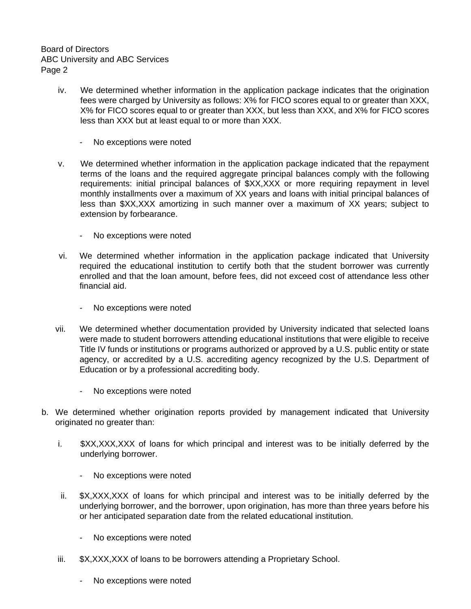Board of Directors ABC University and ABC Services Page 2

- iv. We determined whether information in the application package indicates that the origination fees were charged by University as follows: X% for FICO scores equal to or greater than XXX, X% for FICO scores equal to or greater than XXX, but less than XXX, and X% for FICO scores less than XXX but at least equal to or more than XXX.
	- No exceptions were noted
- v. We determined whether information in the application package indicated that the repayment terms of the loans and the required aggregate principal balances comply with the following requirements: initial principal balances of \$XX,XXX or more requiring repayment in level monthly installments over a maximum of XX years and loans with initial principal balances of less than \$XX,XXX amortizing in such manner over a maximum of XX years; subject to extension by forbearance.
	- No exceptions were noted
- vi. We determined whether information in the application package indicated that University required the educational institution to certify both that the student borrower was currently enrolled and that the loan amount, before fees, did not exceed cost of attendance less other financial aid.
	- No exceptions were noted
- vii. We determined whether documentation provided by University indicated that selected loans were made to student borrowers attending educational institutions that were eligible to receive Title IV funds or institutions or programs authorized or approved by a U.S. public entity or state agency, or accredited by a U.S. accrediting agency recognized by the U.S. Department of Education or by a professional accrediting body.
	- No exceptions were noted
- b. We determined whether origination reports provided by management indicated that University originated no greater than:
	- i. \$XX,XXX,XXX of loans for which principal and interest was to be initially deferred by the underlying borrower.
		- No exceptions were noted
	- ii. \$X,XXX,XXX of loans for which principal and interest was to be initially deferred by the underlying borrower, and the borrower, upon origination, has more than three years before his or her anticipated separation date from the related educational institution.
		- No exceptions were noted
	- iii.  $$X, XXX, XXX$  of loans to be borrowers attending a Proprietary School.
		- No exceptions were noted